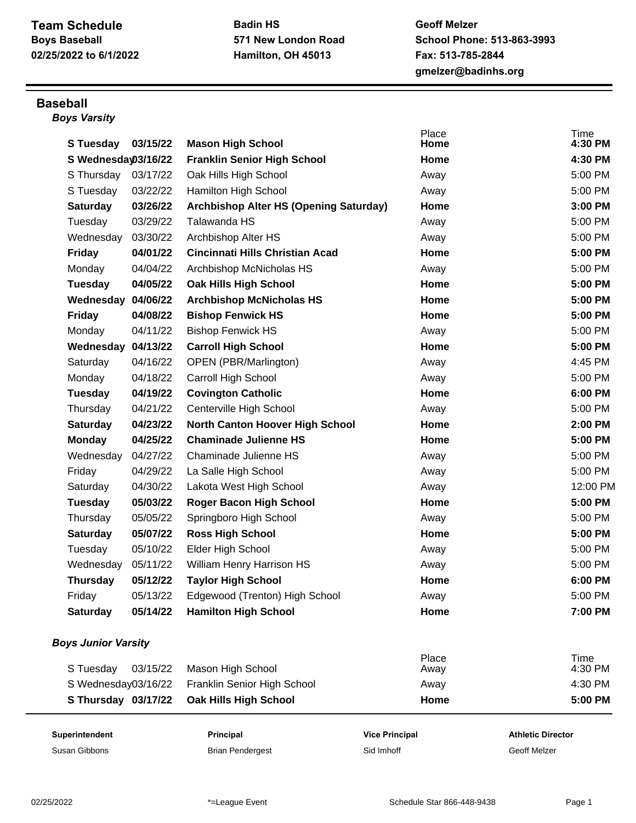## **Team Schedule Boys Baseball 02/25/2022 to 6/1/2022**

**Badin HS 571 New London Road Hamilton, OH 45013**

**Geoff Melzer School Phone: 513-863-3993 Fax: 513-785-2844 gmelzer@badinhs.org**

## **Baseball**

*Boys Varsity*

| Superintendent             |          | Principal                              | <b>Vice Principal</b> | <b>Athletic Director</b> |
|----------------------------|----------|----------------------------------------|-----------------------|--------------------------|
| S Thursday 03/17/22        |          | Oak Hills High School                  | Home                  | 5:00 PM                  |
| S Wednesday03/16/22        |          | Franklin Senior High School            | Away                  | 4:30 PM                  |
| S Tuesday                  | 03/15/22 | Mason High School                      | Place<br>Away         | Time<br>4:30 PM          |
| <b>Boys Junior Varsity</b> |          |                                        |                       |                          |
| <b>Saturday</b>            | 05/14/22 | <b>Hamilton High School</b>            | Home                  | 7:00 PM                  |
| Friday                     | 05/13/22 | Edgewood (Trenton) High School         | Away                  | 5:00 PM                  |
| <b>Thursday</b>            | 05/12/22 | <b>Taylor High School</b>              | Home                  | 6:00 PM                  |
| Wednesday                  | 05/11/22 | William Henry Harrison HS              | Away                  | 5:00 PM                  |
| Tuesday                    | 05/10/22 | Elder High School                      | Away                  | 5:00 PM                  |
| <b>Saturday</b>            | 05/07/22 | <b>Ross High School</b>                | Home                  | 5:00 PM                  |
| Thursday                   | 05/05/22 | Springboro High School                 | Away                  | 5:00 PM                  |
| Tuesday                    | 05/03/22 | <b>Roger Bacon High School</b>         | Home                  | 5:00 PM                  |
| Saturday                   | 04/30/22 | Lakota West High School                | Away                  | 12:00 PM                 |
| Friday                     | 04/29/22 | La Salle High School                   | Away                  | 5:00 PM                  |
| Wednesday                  | 04/27/22 | Chaminade Julienne HS                  | Away                  | 5:00 PM                  |
| <b>Monday</b>              | 04/25/22 | <b>Chaminade Julienne HS</b>           | Home                  | 5:00 PM                  |
| <b>Saturday</b>            | 04/23/22 | <b>North Canton Hoover High School</b> | Home                  | 2:00 PM                  |
| Thursday                   | 04/21/22 | Centerville High School                | Away                  | 5:00 PM                  |
| Tuesday                    | 04/19/22 | <b>Covington Catholic</b>              | Home                  | 6:00 PM                  |
| Monday                     | 04/18/22 | Carroll High School                    | Away                  | 5:00 PM                  |
| Saturday                   | 04/16/22 | OPEN (PBR/Marlington)                  | Away                  | 4:45 PM                  |
| Wednesday 04/13/22         |          | <b>Carroll High School</b>             | Home                  | 5:00 PM                  |
| Monday                     | 04/11/22 | <b>Bishop Fenwick HS</b>               | Away                  | 5:00 PM                  |
| <b>Friday</b>              | 04/08/22 | <b>Bishop Fenwick HS</b>               | Home                  | 5:00 PM                  |
| Wednesday                  | 04/06/22 | <b>Archbishop McNicholas HS</b>        | Home                  | 5:00 PM                  |
| Tuesday                    | 04/05/22 | <b>Oak Hills High School</b>           | Home                  | 5:00 PM                  |
| Monday                     | 04/04/22 | Archbishop McNicholas HS               | Away                  | 5:00 PM                  |
| <b>Friday</b>              | 04/01/22 | <b>Cincinnati Hills Christian Acad</b> | Home                  | 5:00 PM                  |
| Wednesday                  | 03/30/22 | Archbishop Alter HS                    | Away                  | 5:00 PM                  |
| Tuesday                    | 03/29/22 | Talawanda HS                           | Away                  | 5:00 PM                  |
| <b>Saturday</b>            | 03/26/22 | Archbishop Alter HS (Opening Saturday) | Home                  | 3:00 PM                  |
| S Tuesday                  | 03/22/22 | Hamilton High School                   | Away                  | 5:00 PM                  |
| S Thursday                 | 03/17/22 | Oak Hills High School                  | Away                  | 5:00 PM                  |
| S Wednesday03/16/22        |          | <b>Franklin Senior High School</b>     | Home                  | 4:30 PM                  |
| <b>S</b> Tuesday           | 03/15/22 | <b>Mason High School</b>               | Place<br>Home         | Time<br>4:30 PM          |

Susan Gibbons **Susan Gibbons** Brian Pendergest Sid Imhoff Sid Imhoff Geoff Melzer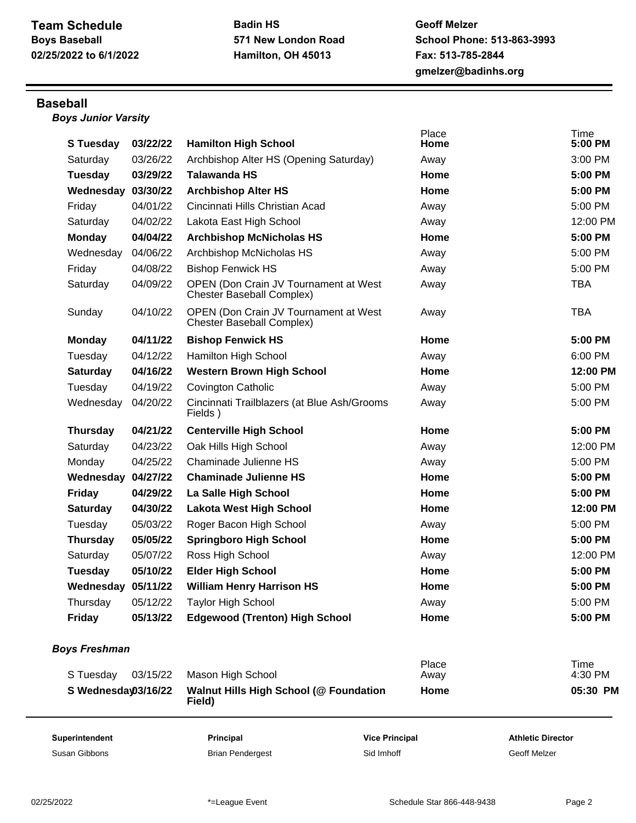**Geoff Melzer School Phone: 513-863-3993 Fax: 513-785-2844 gmelzer@badinhs.org**

## **Baseball**

*Boys Junior Varsity*

| Superintendent       | Principal<br><b>Vice Principal</b> |                                                                                  | <b>Athletic Director</b> |                        |
|----------------------|------------------------------------|----------------------------------------------------------------------------------|--------------------------|------------------------|
|                      |                                    | Field)                                                                           |                          |                        |
| S Wednesday03/16/22  |                                    | <b>Walnut Hills High School (@ Foundation</b>                                    | Home                     | 05:30 PM               |
| S Tuesday            | 03/15/22                           | Mason High School                                                                | Place<br>Away            | <b>Time</b><br>4:30 PM |
| <b>Boys Freshman</b> |                                    |                                                                                  |                          |                        |
| Friday               | 05/13/22                           | <b>Edgewood (Trenton) High School</b>                                            | Home                     | 5:00 PM                |
| Thursday             | 05/12/22                           | <b>Taylor High School</b>                                                        | Away                     | 5:00 PM                |
| Wednesday 05/11/22   |                                    | <b>William Henry Harrison HS</b>                                                 | Home                     | 5:00 PM                |
| Tuesday              | 05/10/22                           | <b>Elder High School</b>                                                         | Home                     | 5:00 PM                |
| Saturday             | 05/07/22                           | Ross High School                                                                 | Away                     | 12:00 PM               |
| <b>Thursday</b>      | 05/05/22                           | <b>Springboro High School</b>                                                    | Home                     | 5:00 PM                |
| Tuesday              | 05/03/22                           | Roger Bacon High School                                                          | Away                     | 5:00 PM                |
| <b>Saturday</b>      | 04/30/22                           | <b>Lakota West High School</b>                                                   | Home                     | 12:00 PM               |
| <b>Friday</b>        | 04/29/22                           | La Salle High School                                                             | Home                     | 5:00 PM                |
| Wednesday 04/27/22   |                                    | <b>Chaminade Julienne HS</b>                                                     | Home                     | 5:00 PM                |
| Monday               | 04/25/22                           | Chaminade Julienne HS                                                            | Away                     | 5:00 PM                |
| Saturday             | 04/23/22                           | Oak Hills High School                                                            | Away                     | 12:00 PM               |
| <b>Thursday</b>      | 04/21/22                           | <b>Centerville High School</b>                                                   | Home                     | 5:00 PM                |
| Wednesday            | 04/20/22                           | Cincinnati Trailblazers (at Blue Ash/Grooms<br>Fields)                           | Away                     | 5:00 PM                |
| Tuesday              | 04/19/22                           | <b>Covington Catholic</b>                                                        | Away                     | 5:00 PM                |
| <b>Saturday</b>      | 04/16/22                           | <b>Western Brown High School</b>                                                 | Home                     | 12:00 PM               |
| Tuesday              | 04/12/22                           | Hamilton High School                                                             | Away                     | 6:00 PM                |
| <b>Monday</b>        | 04/11/22                           | <b>Bishop Fenwick HS</b>                                                         | Home                     | 5:00 PM                |
| Sunday               | 04/10/22                           | <b>OPEN (Don Crain JV Tournament at West</b><br><b>Chester Baseball Complex)</b> | Away                     | <b>TBA</b>             |
| Saturday             | 04/09/22                           | <b>OPEN (Don Crain JV Tournament at West</b><br>Chester Baseball Complex)        | Away                     | <b>TBA</b>             |
| Friday               | 04/08/22                           | <b>Bishop Fenwick HS</b>                                                         | Away                     | 5:00 PM                |
| Wednesday            | 04/06/22                           | Archbishop McNicholas HS                                                         | Away                     | 5:00 PM                |
| <b>Monday</b>        | 04/04/22                           | <b>Archbishop McNicholas HS</b>                                                  | Home                     | 5:00 PM                |
| Saturday             | 04/02/22                           | Lakota East High School                                                          | Away                     | 12:00 PM               |
| Friday               | 04/01/22                           | Cincinnati Hills Christian Acad                                                  | Away                     | 5:00 PM                |
| Wednesday            | 03/30/22                           | <b>Archbishop Alter HS</b>                                                       | Home                     | 5:00 PM                |
| Tuesday              | 03/29/22                           | <b>Talawanda HS</b>                                                              | Home                     | 5:00 PM                |
| Saturday             | 03/26/22                           | Archbishop Alter HS (Opening Saturday)                                           | Away                     | 3:00 PM                |
|                      | 03/22/22                           | <b>Hamilton High School</b>                                                      | Home                     | <b>Time</b><br>5:00 PM |
| <b>S</b> Tuesday     |                                    |                                                                                  |                          | Place                  |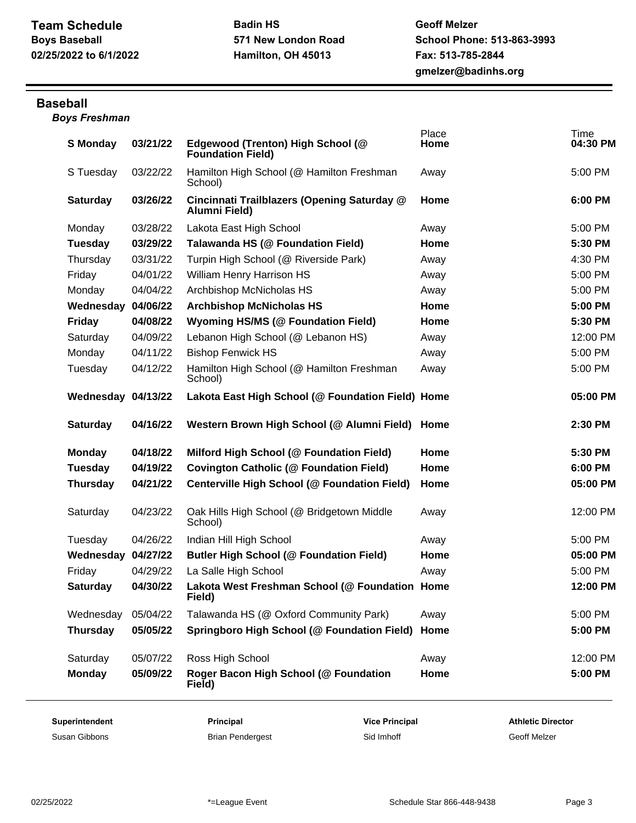## **Baseball**

*Boys Freshman*

| <b>S</b> Monday    | 03/21/22 | Edgewood (Trenton) High School (@<br><b>Foundation Field)</b> | Place<br>Home | <b>Time</b><br>04:30 PM |
|--------------------|----------|---------------------------------------------------------------|---------------|-------------------------|
| S Tuesday          | 03/22/22 | Hamilton High School (@ Hamilton Freshman<br>School)          | Away          | 5:00 PM                 |
| <b>Saturday</b>    | 03/26/22 | Cincinnati Trailblazers (Opening Saturday @<br>Alumni Field)  | Home          | 6:00 PM                 |
| Monday             | 03/28/22 | Lakota East High School                                       | Away          | 5:00 PM                 |
| <b>Tuesday</b>     | 03/29/22 | Talawanda HS (@ Foundation Field)                             | Home          | 5:30 PM                 |
| Thursday           | 03/31/22 | Turpin High School (@ Riverside Park)                         | Away          | 4:30 PM                 |
| Friday             | 04/01/22 | William Henry Harrison HS                                     | Away          | 5:00 PM                 |
| Monday             | 04/04/22 | Archbishop McNicholas HS                                      | Away          | 5:00 PM                 |
| Wednesday          | 04/06/22 | <b>Archbishop McNicholas HS</b>                               | Home          | 5:00 PM                 |
| <b>Friday</b>      | 04/08/22 | <b>Wyoming HS/MS (@ Foundation Field)</b>                     | Home          | 5:30 PM                 |
| Saturday           | 04/09/22 | Lebanon High School (@ Lebanon HS)                            | Away          | 12:00 PM                |
| Monday             | 04/11/22 | <b>Bishop Fenwick HS</b>                                      | Away          | 5:00 PM                 |
| Tuesday            | 04/12/22 | Hamilton High School (@ Hamilton Freshman<br>School)          | Away          | 5:00 PM                 |
| Wednesday 04/13/22 |          | Lakota East High School (@ Foundation Field) Home             |               | 05:00 PM                |
| <b>Saturday</b>    | 04/16/22 | Western Brown High School (@ Alumni Field)                    | Home          | 2:30 PM                 |
|                    |          |                                                               |               |                         |
| <b>Monday</b>      | 04/18/22 | Milford High School (@ Foundation Field)                      | Home          | 5:30 PM                 |
| <b>Tuesday</b>     | 04/19/22 | <b>Covington Catholic (@ Foundation Field)</b>                | Home          | 6:00 PM                 |
| <b>Thursday</b>    | 04/21/22 | Centerville High School (@ Foundation Field)                  | Home          | 05:00 PM                |
| Saturday           | 04/23/22 | Oak Hills High School (@ Bridgetown Middle<br>School)         | Away          | 12:00 PM                |
| Tuesday            | 04/26/22 | Indian Hill High School                                       | Away          | 5:00 PM                 |
| Wednesday          | 04/27/22 | <b>Butler High School (@ Foundation Field)</b>                | Home          | 05:00 PM                |
| Friday             | 04/29/22 | La Salle High School                                          | Away          | 5:00 PM                 |
| <b>Saturday</b>    | 04/30/22 | Lakota West Freshman School (@ Foundation Home<br>Field)      |               | 12:00 PM                |
| Wednesday          | 05/04/22 | Talawanda HS (@ Oxford Community Park)                        | Away          | 5:00 PM                 |
| <b>Thursday</b>    | 05/05/22 | Springboro High School (@ Foundation Field)                   | Home          | 5:00 PM                 |
| Saturday           | 05/07/22 | Ross High School                                              | Away          | 12:00 PM                |

Susan Gibbons **Susan Gibbons** Brian Pendergest Sid Imhoff Sid Imhoff Geoff Melzer

**Superintendent Principal Vice Principal Athletic Director**